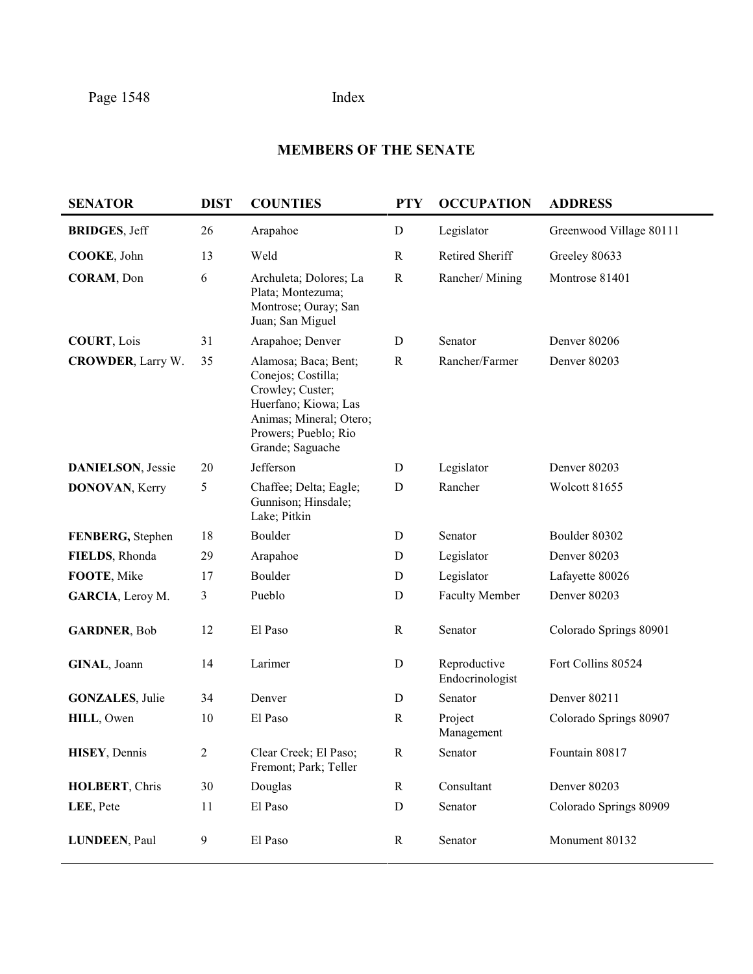# **MEMBERS OF THE SENATE**

| <b>SENATOR</b>            | <b>DIST</b>    | <b>COUNTIES</b>                                                                                                                                               | <b>PTY</b>   | <b>OCCUPATION</b>               | <b>ADDRESS</b>          |
|---------------------------|----------------|---------------------------------------------------------------------------------------------------------------------------------------------------------------|--------------|---------------------------------|-------------------------|
| <b>BRIDGES, Jeff</b>      | 26             | Arapahoe                                                                                                                                                      | ${\bf D}$    | Legislator                      | Greenwood Village 80111 |
| COOKE, John               | 13             | Weld                                                                                                                                                          | $\mathbf R$  | Retired Sheriff                 | Greeley 80633           |
| CORAM, Don                | 6              | Archuleta; Dolores; La<br>Plata; Montezuma;<br>Montrose; Ouray; San<br>Juan; San Miguel                                                                       | $\mathbb{R}$ | Rancher/Mining                  | Montrose 81401          |
| <b>COURT, Lois</b>        | 31             | Arapahoe; Denver                                                                                                                                              | D            | Senator                         | Denver 80206            |
| <b>CROWDER, Larry W.</b>  | 35             | Alamosa; Baca; Bent;<br>Conejos; Costilla;<br>Crowley; Custer;<br>Huerfano; Kiowa; Las<br>Animas; Mineral; Otero;<br>Prowers; Pueblo; Rio<br>Grande; Saguache | $\mathbb{R}$ | Rancher/Farmer                  | Denver 80203            |
| <b>DANIELSON</b> , Jessie | 20             | Jefferson                                                                                                                                                     | $\mathbf D$  | Legislator                      | Denver 80203            |
| DONOVAN, Kerry            | 5              | Chaffee; Delta; Eagle;<br>Gunnison; Hinsdale;<br>Lake; Pitkin                                                                                                 | $\mathbf D$  | Rancher                         | Wolcott 81655           |
| FENBERG, Stephen          | 18             | Boulder                                                                                                                                                       | D            | Senator                         | Boulder 80302           |
| FIELDS, Rhonda            | 29             | Arapahoe                                                                                                                                                      | D            | Legislator                      | Denver 80203            |
| FOOTE, Mike               | 17             | Boulder                                                                                                                                                       | $\mathbf D$  | Legislator                      | Lafayette 80026         |
| GARCIA, Leroy M.          | 3              | Pueblo                                                                                                                                                        | D            | <b>Faculty Member</b>           | Denver 80203            |
| <b>GARDNER, Bob</b>       | 12             | El Paso                                                                                                                                                       | $\mathbf R$  | Senator                         | Colorado Springs 80901  |
| GINAL, Joann              | 14             | Larimer                                                                                                                                                       | D            | Reproductive<br>Endocrinologist | Fort Collins 80524      |
| <b>GONZALES, Julie</b>    | 34             | Denver                                                                                                                                                        | D            | Senator                         | Denver 80211            |
| HILL, Owen                | 10             | El Paso                                                                                                                                                       | $\mathbf R$  | Project<br>Management           | Colorado Springs 80907  |
| HISEY, Dennis             | $\overline{c}$ | Clear Creek; El Paso;<br>Fremont; Park; Teller                                                                                                                | $\mathbf R$  | Senator                         | Fountain 80817          |
| HOLBERT, Chris            | $30\,$         | Douglas                                                                                                                                                       | $\mathbf R$  | Consultant                      | Denver 80203            |
| LEE, Pete                 | 11             | El Paso                                                                                                                                                       | ${\bf D}$    | Senator                         | Colorado Springs 80909  |
| LUNDEEN, Paul             | 9              | El Paso                                                                                                                                                       | $\mathbf R$  | Senator                         | Monument 80132          |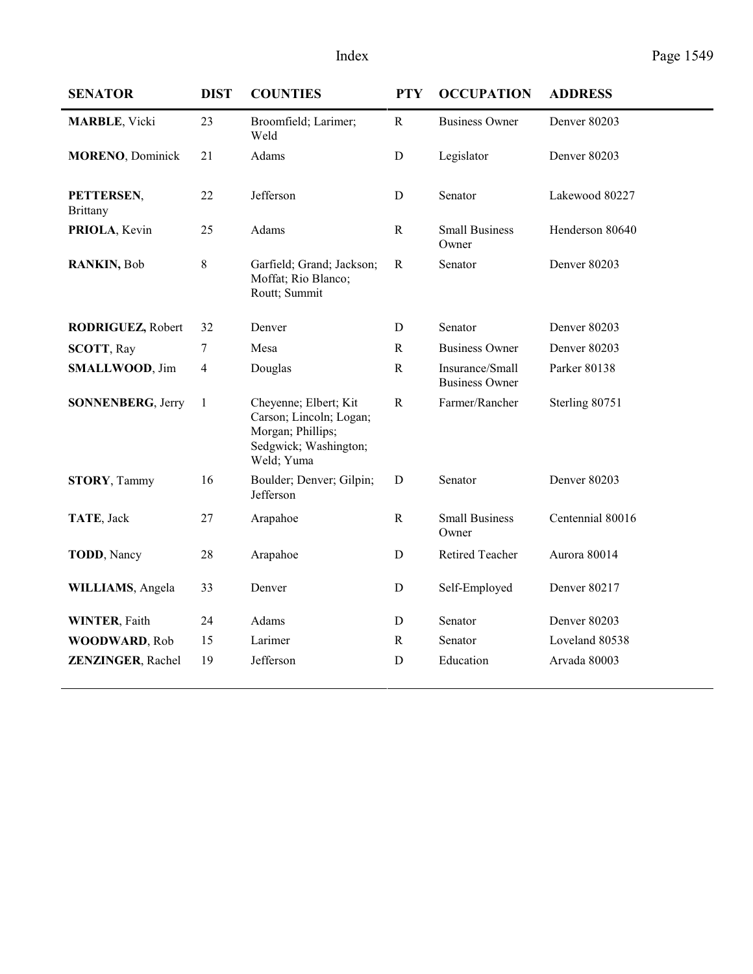| <b>SENATOR</b>                | <b>DIST</b>    | <b>COUNTIES</b>                                                                                              | <b>PTY</b>   | <b>OCCUPATION</b>                        | <b>ADDRESS</b>   |
|-------------------------------|----------------|--------------------------------------------------------------------------------------------------------------|--------------|------------------------------------------|------------------|
| <b>MARBLE</b> , Vicki         | 23             | Broomfield; Larimer;<br>Weld                                                                                 | $\mathbf R$  | <b>Business Owner</b>                    | Denver 80203     |
| <b>MORENO, Dominick</b>       | 21             | Adams                                                                                                        | D            | Legislator                               | Denver 80203     |
| PETTERSEN,<br><b>Brittany</b> | 22             | Jefferson                                                                                                    | $\mathbf D$  | Senator                                  | Lakewood 80227   |
| PRIOLA, Kevin                 | 25             | Adams                                                                                                        | ${\bf R}$    | <b>Small Business</b><br>Owner           | Henderson 80640  |
| RANKIN, Bob                   | $\,$ 8 $\,$    | Garfield; Grand; Jackson;<br>Moffat; Rio Blanco;<br>Routt; Summit                                            | ${\bf R}$    | Senator                                  | Denver 80203     |
| RODRIGUEZ, Robert             | 32             | Denver                                                                                                       | D            | Senator                                  | Denver 80203     |
| <b>SCOTT, Ray</b>             | 7              | Mesa                                                                                                         | $\mathbf R$  | <b>Business Owner</b>                    | Denver 80203     |
| SMALLWOOD, Jim                | $\overline{4}$ | Douglas                                                                                                      | $\mathbf R$  | Insurance/Small<br><b>Business Owner</b> | Parker 80138     |
| <b>SONNENBERG, Jerry</b>      | 1              | Cheyenne; Elbert; Kit<br>Carson; Lincoln; Logan;<br>Morgan; Phillips;<br>Sedgwick; Washington;<br>Weld; Yuma | $\mathbb{R}$ | Farmer/Rancher                           | Sterling 80751   |
| <b>STORY, Tammy</b>           | 16             | Boulder; Denver; Gilpin;<br>Jefferson                                                                        | $\mathbf D$  | Senator                                  | Denver 80203     |
| TATE, Jack                    | 27             | Arapahoe                                                                                                     | $\mathbb{R}$ | <b>Small Business</b><br>Owner           | Centennial 80016 |
| TODD, Nancy                   | 28             | Arapahoe                                                                                                     | D            | <b>Retired Teacher</b>                   | Aurora 80014     |
| WILLIAMS, Angela              | 33             | Denver                                                                                                       | $\mathbf D$  | Self-Employed                            | Denver 80217     |
| <b>WINTER, Faith</b>          | 24             | Adams                                                                                                        | D            | Senator                                  | Denver 80203     |
| WOODWARD, Rob                 | 15             | Larimer                                                                                                      | $\mathbb{R}$ | Senator                                  | Loveland 80538   |
| ZENZINGER, Rachel             | 19             | Jefferson                                                                                                    | D            | Education                                | Arvada 80003     |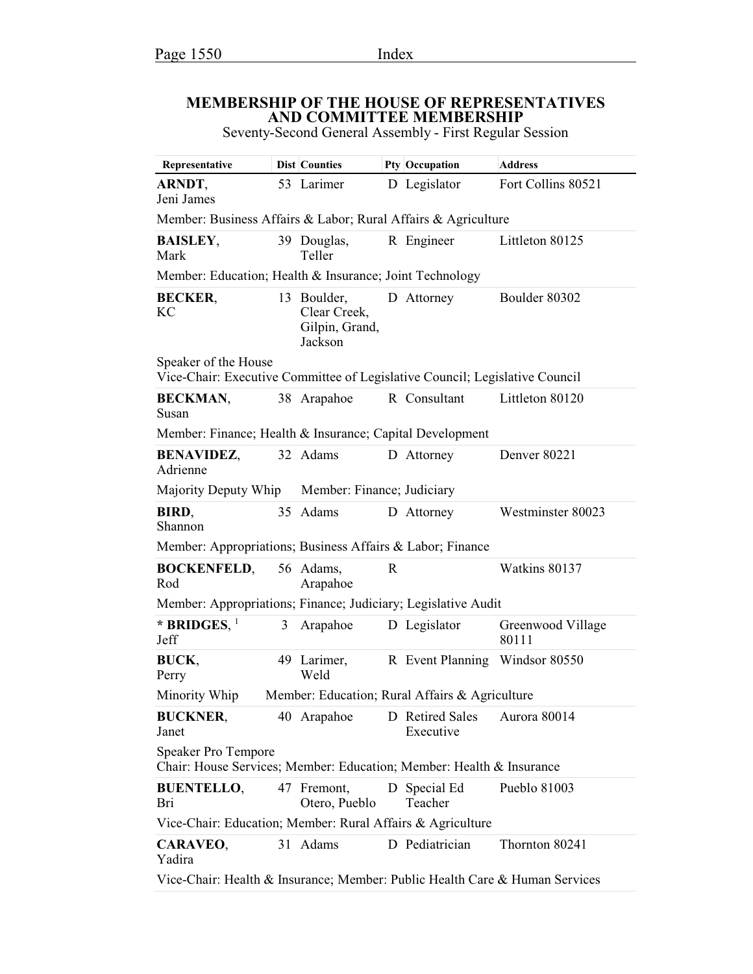### **MEMBERSHIP OF THE HOUSE OF REPRESENTATIVES AND COMMITTEE MEMBERSHIP**

Seventy-Second General Assembly - First Regular Session

| Representative                                                                                      |                                                    | Dist Counties                                            |   | Pty Occupation                                 | <b>Address</b>             |  |  |
|-----------------------------------------------------------------------------------------------------|----------------------------------------------------|----------------------------------------------------------|---|------------------------------------------------|----------------------------|--|--|
| <b>ARNDT,</b><br>Jeni James                                                                         |                                                    | 53 Larimer                                               |   | D Legislator                                   | Fort Collins 80521         |  |  |
| Member: Business Affairs & Labor; Rural Affairs & Agriculture                                       |                                                    |                                                          |   |                                                |                            |  |  |
| <b>BAISLEY,</b><br>Mark                                                                             |                                                    | 39 Douglas,<br>Teller                                    |   | R Engineer                                     | Littleton 80125            |  |  |
| Member: Education; Health & Insurance; Joint Technology                                             |                                                    |                                                          |   |                                                |                            |  |  |
| <b>BECKER,</b><br><b>KC</b>                                                                         |                                                    | 13 Boulder,<br>Clear Creek,<br>Gilpin, Grand,<br>Jackson |   | D Attorney                                     | Boulder 80302              |  |  |
| Speaker of the House<br>Vice-Chair: Executive Committee of Legislative Council; Legislative Council |                                                    |                                                          |   |                                                |                            |  |  |
| <b>BECKMAN,</b><br>Susan                                                                            |                                                    | 38 Arapahoe                                              |   | R Consultant                                   | Littleton 80120            |  |  |
| Member: Finance; Health & Insurance; Capital Development                                            |                                                    |                                                          |   |                                                |                            |  |  |
| <b>BENAVIDEZ,</b><br>Adrienne                                                                       |                                                    | 32 Adams                                                 |   | D Attorney                                     | Denver 80221               |  |  |
|                                                                                                     | Majority Deputy Whip<br>Member: Finance; Judiciary |                                                          |   |                                                |                            |  |  |
| BIRD,<br>Shannon                                                                                    |                                                    | 35 Adams                                                 |   | D Attorney                                     | Westminster 80023          |  |  |
| Member: Appropriations; Business Affairs & Labor; Finance                                           |                                                    |                                                          |   |                                                |                            |  |  |
| <b>BOCKENFELD,</b><br>Rod                                                                           |                                                    | 56 Adams,<br>Arapahoe                                    | R |                                                | Watkins 80137              |  |  |
| Member: Appropriations; Finance; Judiciary; Legislative Audit                                       |                                                    |                                                          |   |                                                |                            |  |  |
| * BRIDGES, $1$<br>Jeff                                                                              | 3                                                  | Arapahoe                                                 |   | D Legislator                                   | Greenwood Village<br>80111 |  |  |
| BUCK,<br>Perry                                                                                      |                                                    | 49 Larimer,<br>Weld                                      |   | R Event Planning Windsor 80550                 |                            |  |  |
| Minority Whip                                                                                       |                                                    |                                                          |   | Member: Education; Rural Affairs & Agriculture |                            |  |  |
| <b>BUCKNER,</b><br>Janet                                                                            |                                                    | 40 Arapahoe                                              |   | D Retired Sales<br>Executive                   | Aurora 80014               |  |  |
| <b>Speaker Pro Tempore</b><br>Chair: House Services; Member: Education; Member: Health & Insurance  |                                                    |                                                          |   |                                                |                            |  |  |
| <b>BUENTELLO,</b><br>Bri                                                                            |                                                    | 47 Fremont,<br>Otero, Pueblo                             |   | D Special Ed<br>Teacher                        | Pueblo 81003               |  |  |
| Vice-Chair: Education; Member: Rural Affairs & Agriculture                                          |                                                    |                                                          |   |                                                |                            |  |  |
| CARAVEO,<br>Yadira                                                                                  |                                                    | 31 Adams                                                 |   | D Pediatrician                                 | Thornton 80241             |  |  |
| Vice-Chair: Health & Insurance; Member: Public Health Care & Human Services                         |                                                    |                                                          |   |                                                |                            |  |  |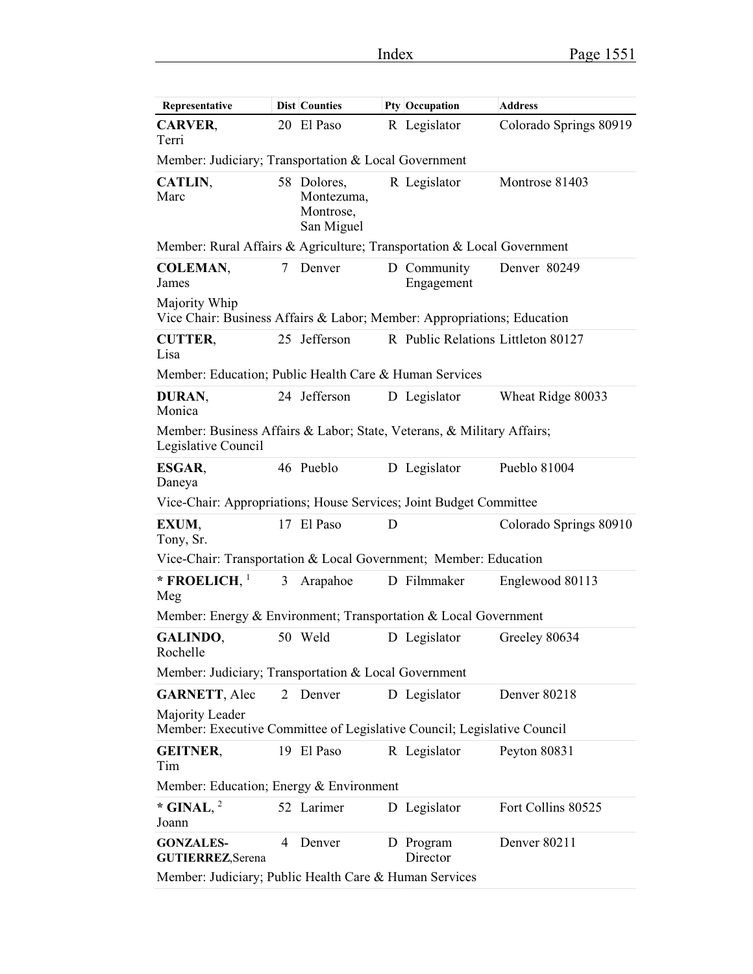| Representative                                                                                |   | <b>Dist Counties</b>                                 |   | Pty Occupation                     | <b>Address</b>         |  |
|-----------------------------------------------------------------------------------------------|---|------------------------------------------------------|---|------------------------------------|------------------------|--|
| <b>CARVER,</b><br>Terri                                                                       |   | 20 El Paso                                           |   | R Legislator                       | Colorado Springs 80919 |  |
| Member: Judiciary; Transportation & Local Government                                          |   |                                                      |   |                                    |                        |  |
| CATLIN,<br>Marc                                                                               |   | 58 Dolores,<br>Montezuma,<br>Montrose,<br>San Miguel |   | R Legislator                       | Montrose 81403         |  |
| Member: Rural Affairs & Agriculture; Transportation & Local Government                        |   |                                                      |   |                                    |                        |  |
| <b>COLEMAN,</b><br>James                                                                      | 7 | Denver                                               |   | D Community<br>Engagement          | Denver 80249           |  |
| Majority Whip<br>Vice Chair: Business Affairs & Labor; Member: Appropriations; Education      |   |                                                      |   |                                    |                        |  |
| <b>CUTTER,</b><br>Lisa                                                                        |   | 25 Jefferson                                         |   | R Public Relations Littleton 80127 |                        |  |
| Member: Education; Public Health Care & Human Services                                        |   |                                                      |   |                                    |                        |  |
| DURAN,<br>Monica                                                                              |   | 24 Jefferson                                         |   | D Legislator                       | Wheat Ridge 80033      |  |
| Member: Business Affairs & Labor; State, Veterans, & Military Affairs;<br>Legislative Council |   |                                                      |   |                                    |                        |  |
| ESGAR,<br>Daneya                                                                              |   | 46 Pueblo                                            |   | D Legislator                       | Pueblo 81004           |  |
| Vice-Chair: Appropriations; House Services; Joint Budget Committee                            |   |                                                      |   |                                    |                        |  |
| EXUM,<br>Tony, Sr.                                                                            |   | 17 El Paso                                           | D |                                    | Colorado Springs 80910 |  |
| Vice-Chair: Transportation & Local Government; Member: Education                              |   |                                                      |   |                                    |                        |  |
| * FROELICH, $1$<br>Meg                                                                        | 3 | Arapahoe                                             |   | D Filmmaker                        | Englewood 80113        |  |
| Member: Energy & Environment; Transportation & Local Government                               |   |                                                      |   |                                    |                        |  |
| GALINDO,<br>Rochelle                                                                          |   | 50 Weld                                              |   | D Legislator                       | Greeley 80634          |  |
| Member: Judiciary; Transportation & Local Government                                          |   |                                                      |   |                                    |                        |  |
| <b>GARNETT, Alec</b>                                                                          | 2 | Denver                                               |   | D Legislator                       | Denver 80218           |  |
| Majority Leader<br>Member: Executive Committee of Legislative Council; Legislative Council    |   |                                                      |   |                                    |                        |  |
| <b>GEITNER,</b><br>Tim                                                                        |   | 19 El Paso                                           |   | R Legislator                       | Peyton 80831           |  |
| Member: Education; Energy & Environment                                                       |   |                                                      |   |                                    |                        |  |
| * GINAL, $^2$<br>Joann                                                                        |   | 52 Larimer                                           |   | D Legislator                       | Fort Collins 80525     |  |
| <b>GONZALES-</b><br><b>GUTIERREZ, Serena</b>                                                  | 4 | Denver                                               |   | D Program<br>Director              | Denver 80211           |  |
| Member: Judiciary; Public Health Care & Human Services                                        |   |                                                      |   |                                    |                        |  |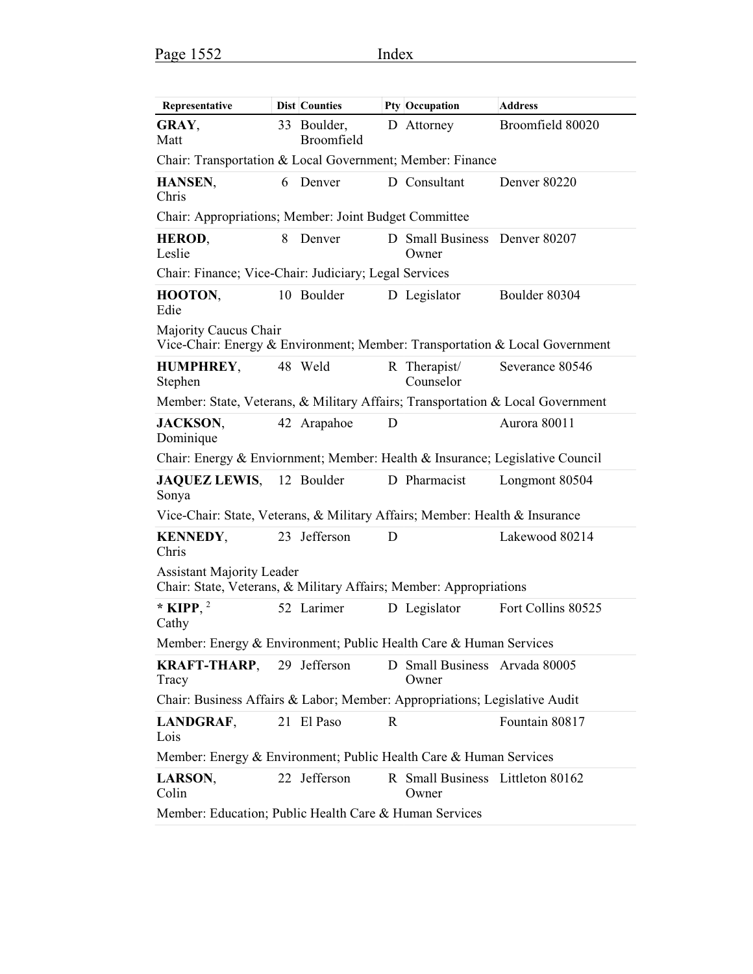| Representative                                                                                         |   | Dist Counties             |   | Pty Occupation                            | <b>Address</b>      |  |
|--------------------------------------------------------------------------------------------------------|---|---------------------------|---|-------------------------------------------|---------------------|--|
| GRAY,<br>Matt                                                                                          |   | 33 Boulder,<br>Broomfield |   | D Attorney                                | Broomfield 80020    |  |
| Chair: Transportation & Local Government; Member: Finance                                              |   |                           |   |                                           |                     |  |
| HANSEN,<br>Chris                                                                                       |   | 6 Denver                  |   | D Consultant                              | <b>Denver 80220</b> |  |
| Chair: Appropriations; Member: Joint Budget Committee                                                  |   |                           |   |                                           |                     |  |
| HEROD,<br>Leslie                                                                                       | 8 | Denver                    |   | D Small Business Denver 80207<br>Owner    |                     |  |
| Chair: Finance; Vice-Chair: Judiciary; Legal Services                                                  |   |                           |   |                                           |                     |  |
| HOOTON,<br>Edie                                                                                        |   | 10 Boulder                |   | D Legislator                              | Boulder 80304       |  |
| Majority Caucus Chair<br>Vice-Chair: Energy & Environment; Member: Transportation & Local Government   |   |                           |   |                                           |                     |  |
| <b>HUMPHREY,</b><br>Stephen                                                                            |   | 48 Weld                   |   | R Therapist/<br>Counselor                 | Severance 80546     |  |
| Member: State, Veterans, & Military Affairs; Transportation & Local Government                         |   |                           |   |                                           |                     |  |
| <b>JACKSON,</b><br>Dominique                                                                           |   | 42 Arapahoe               | D |                                           | Aurora 80011        |  |
| Chair: Energy & Enviornment; Member: Health & Insurance; Legislative Council                           |   |                           |   |                                           |                     |  |
| <b>JAQUEZ LEWIS,</b><br>Sonya                                                                          |   | 12 Boulder                |   | D Pharmacist                              | Longmont 80504      |  |
| Vice-Chair: State, Veterans, & Military Affairs; Member: Health & Insurance                            |   |                           |   |                                           |                     |  |
| <b>KENNEDY,</b><br>Chris                                                                               |   | 23 Jefferson              | D |                                           | Lakewood 80214      |  |
| <b>Assistant Majority Leader</b><br>Chair: State, Veterans, & Military Affairs; Member: Appropriations |   |                           |   |                                           |                     |  |
| * KIPP, $^2$<br>Cathy                                                                                  |   | 52 Larimer                |   | D Legislator                              | Fort Collins 80525  |  |
| Member: Energy & Environment; Public Health Care & Human Services                                      |   |                           |   |                                           |                     |  |
| <b>KRAFT-THARP,</b> 29 Jefferson<br>Tracy                                                              |   |                           |   | D Small Business Arvada 80005<br>Owner    |                     |  |
| Chair: Business Affairs & Labor; Member: Appropriations; Legislative Audit                             |   |                           |   |                                           |                     |  |
| LANDGRAF,<br>Lois                                                                                      |   | 21 El Paso                | R |                                           | Fountain 80817      |  |
| Member: Energy & Environment; Public Health Care & Human Services                                      |   |                           |   |                                           |                     |  |
| LARSON,<br>Colin                                                                                       |   | 22 Jefferson              |   | R Small Business Littleton 80162<br>Owner |                     |  |
| Member: Education; Public Health Care & Human Services                                                 |   |                           |   |                                           |                     |  |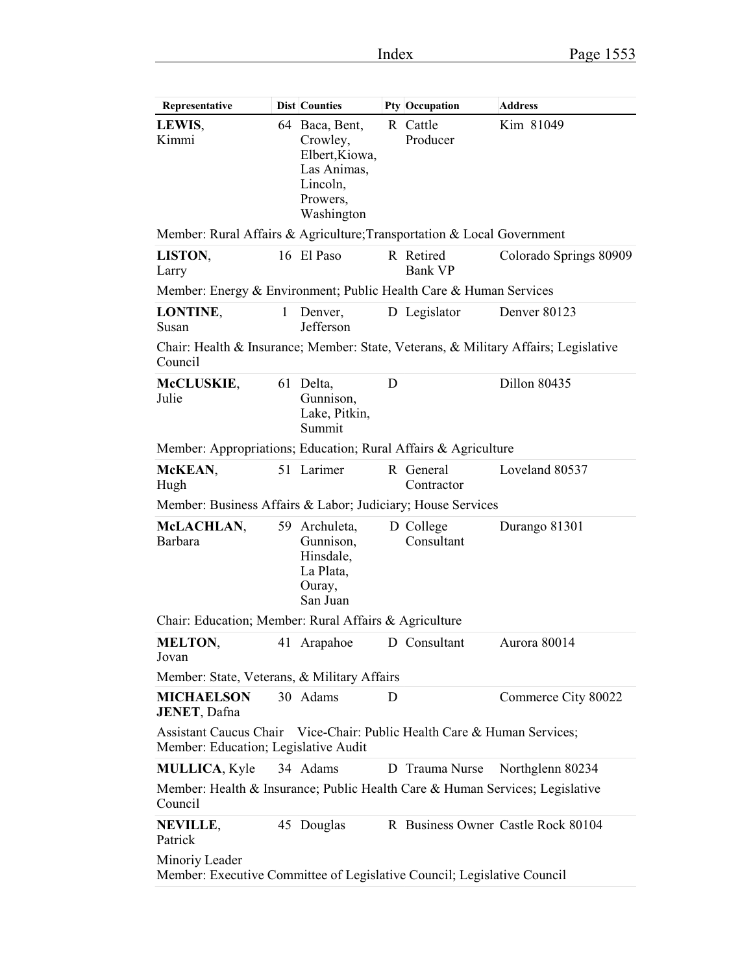$\overline{\phantom{a}}$ 

| Representative                                                                                                  |              | <b>Dist Counties</b>                                                                              |   | Pty Occupation              | <b>Address</b>                                                                      |  |
|-----------------------------------------------------------------------------------------------------------------|--------------|---------------------------------------------------------------------------------------------------|---|-----------------------------|-------------------------------------------------------------------------------------|--|
| LEWIS,<br>Kimmi                                                                                                 |              | 64 Baca, Bent,<br>Crowley,<br>Elbert, Kiowa,<br>Las Animas,<br>Lincoln,<br>Prowers,<br>Washington |   | R Cattle<br>Producer        | Kim 81049                                                                           |  |
| Member: Rural Affairs & Agriculture; Transportation & Local Government                                          |              |                                                                                                   |   |                             |                                                                                     |  |
| LISTON,<br>Larry                                                                                                |              | 16 El Paso                                                                                        |   | R Retired<br><b>Bank VP</b> | Colorado Springs 80909                                                              |  |
| Member: Energy & Environment; Public Health Care & Human Services                                               |              |                                                                                                   |   |                             |                                                                                     |  |
| LONTINE,<br>Susan                                                                                               | $\mathbf{1}$ | Denver,<br>Jefferson                                                                              |   | D Legislator                | Denver 80123                                                                        |  |
| Council                                                                                                         |              |                                                                                                   |   |                             | Chair: Health & Insurance; Member: State, Veterans, & Military Affairs; Legislative |  |
| McCLUSKIE,<br>Julie                                                                                             |              | 61 Delta,<br>Gunnison,<br>Lake, Pitkin,<br>Summit                                                 | D |                             | Dillon 80435                                                                        |  |
| Member: Appropriations; Education; Rural Affairs & Agriculture                                                  |              |                                                                                                   |   |                             |                                                                                     |  |
| McKEAN,<br>Hugh                                                                                                 |              | 51 Larimer                                                                                        |   | R General<br>Contractor     | Loveland 80537                                                                      |  |
| Member: Business Affairs & Labor; Judiciary; House Services                                                     |              |                                                                                                   |   |                             |                                                                                     |  |
| McLACHLAN,<br><b>Barbara</b>                                                                                    |              | 59 Archuleta,<br>Gunnison,<br>Hinsdale,<br>La Plata,<br>Ouray,<br>San Juan                        |   | D College<br>Consultant     | Durango 81301                                                                       |  |
| Chair: Education; Member: Rural Affairs & Agriculture                                                           |              |                                                                                                   |   |                             |                                                                                     |  |
| <b>MELTON,</b><br>Jovan                                                                                         |              | 41 Arapahoe                                                                                       |   | D Consultant                | Aurora 80014                                                                        |  |
| Member: State, Veterans, & Military Affairs                                                                     |              |                                                                                                   |   |                             |                                                                                     |  |
| <b>MICHAELSON</b><br>JENET, Dafna                                                                               |              | 30 Adams                                                                                          | D |                             | Commerce City 80022                                                                 |  |
| Assistant Caucus Chair Vice-Chair: Public Health Care & Human Services;<br>Member: Education; Legislative Audit |              |                                                                                                   |   |                             |                                                                                     |  |
| <b>MULLICA, Kyle</b>                                                                                            |              | 34 Adams                                                                                          |   | D Trauma Nurse              | Northglenn 80234                                                                    |  |
| Member: Health & Insurance; Public Health Care & Human Services; Legislative<br>Council                         |              |                                                                                                   |   |                             |                                                                                     |  |
| NEVILLE,<br>Patrick                                                                                             |              | 45 Douglas                                                                                        |   |                             | R Business Owner Castle Rock 80104                                                  |  |
| Minoriy Leader<br>Member: Executive Committee of Legislative Council; Legislative Council                       |              |                                                                                                   |   |                             |                                                                                     |  |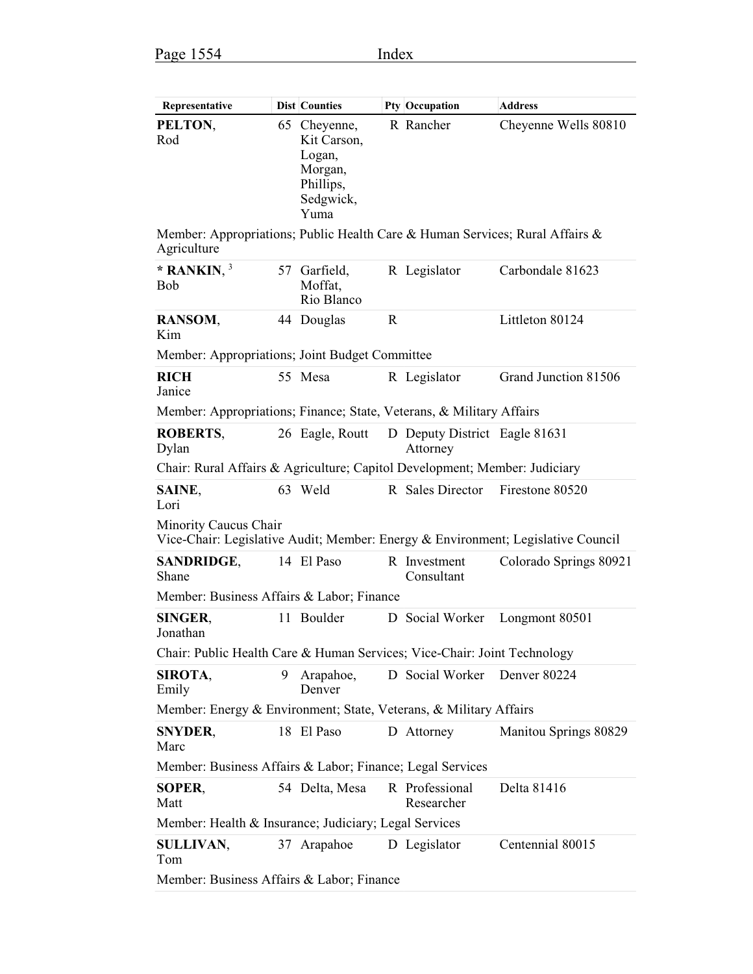| Representative                                                                                            |   | <b>Dist Counties</b>                                                               |              | Pty Occupation                            | Address                |  |  |
|-----------------------------------------------------------------------------------------------------------|---|------------------------------------------------------------------------------------|--------------|-------------------------------------------|------------------------|--|--|
| PELTON,<br>Rod                                                                                            |   | 65 Cheyenne,<br>Kit Carson,<br>Logan,<br>Morgan,<br>Phillips,<br>Sedgwick,<br>Yuma |              | R Rancher                                 | Cheyenne Wells 80810   |  |  |
| Member: Appropriations; Public Health Care & Human Services; Rural Affairs &<br>Agriculture               |   |                                                                                    |              |                                           |                        |  |  |
| * RANKIN, $3$<br><b>Bob</b>                                                                               |   | 57 Garfield,<br>Moffat,<br>Rio Blanco                                              |              | R Legislator                              | Carbondale 81623       |  |  |
| RANSOM,<br>Kim                                                                                            |   | 44 Douglas                                                                         | $\mathbb{R}$ |                                           | Littleton 80124        |  |  |
| Member: Appropriations; Joint Budget Committee                                                            |   |                                                                                    |              |                                           |                        |  |  |
| <b>RICH</b><br>Janice                                                                                     |   | 55 Mesa                                                                            |              | R Legislator                              | Grand Junction 81506   |  |  |
| Member: Appropriations; Finance; State, Veterans, & Military Affairs                                      |   |                                                                                    |              |                                           |                        |  |  |
| <b>ROBERTS.</b><br>Dylan                                                                                  |   | 26 Eagle, Routt                                                                    |              | D Deputy District Eagle 81631<br>Attorney |                        |  |  |
| Chair: Rural Affairs & Agriculture; Capitol Development; Member: Judiciary                                |   |                                                                                    |              |                                           |                        |  |  |
| SAINE,<br>Lori                                                                                            |   | 63 Weld                                                                            |              | R Sales Director                          | Firestone 80520        |  |  |
| Minority Caucus Chair<br>Vice-Chair: Legislative Audit; Member: Energy & Environment; Legislative Council |   |                                                                                    |              |                                           |                        |  |  |
| <b>SANDRIDGE,</b><br>Shane                                                                                |   | 14 El Paso                                                                         |              | R Investment<br>Consultant                | Colorado Springs 80921 |  |  |
| Member: Business Affairs & Labor; Finance                                                                 |   |                                                                                    |              |                                           |                        |  |  |
| <b>SINGER,</b><br>Jonathan                                                                                |   | 11 Boulder                                                                         |              | D Social Worker                           | Longmont 80501         |  |  |
| Chair: Public Health Care & Human Services; Vice-Chair: Joint Technology                                  |   |                                                                                    |              |                                           |                        |  |  |
| SIROTA,<br>Emily                                                                                          | 9 | Arapahoe,<br>Denver                                                                |              | D Social Worker                           | Denver 80224           |  |  |
| Member: Energy & Environment; State, Veterans, & Military Affairs                                         |   |                                                                                    |              |                                           |                        |  |  |
| <b>SNYDER,</b><br>Marc                                                                                    |   | 18 El Paso                                                                         |              | D Attorney                                | Manitou Springs 80829  |  |  |
| Member: Business Affairs & Labor; Finance; Legal Services                                                 |   |                                                                                    |              |                                           |                        |  |  |
| SOPER,<br>Matt                                                                                            |   | 54 Delta, Mesa                                                                     |              | R Professional<br>Researcher              | Delta 81416            |  |  |
| Member: Health & Insurance; Judiciary; Legal Services                                                     |   |                                                                                    |              |                                           |                        |  |  |
| <b>SULLIVAN,</b><br>Tom                                                                                   |   | 37 Arapahoe                                                                        |              | D Legislator                              | Centennial 80015       |  |  |
| Member: Business Affairs & Labor; Finance                                                                 |   |                                                                                    |              |                                           |                        |  |  |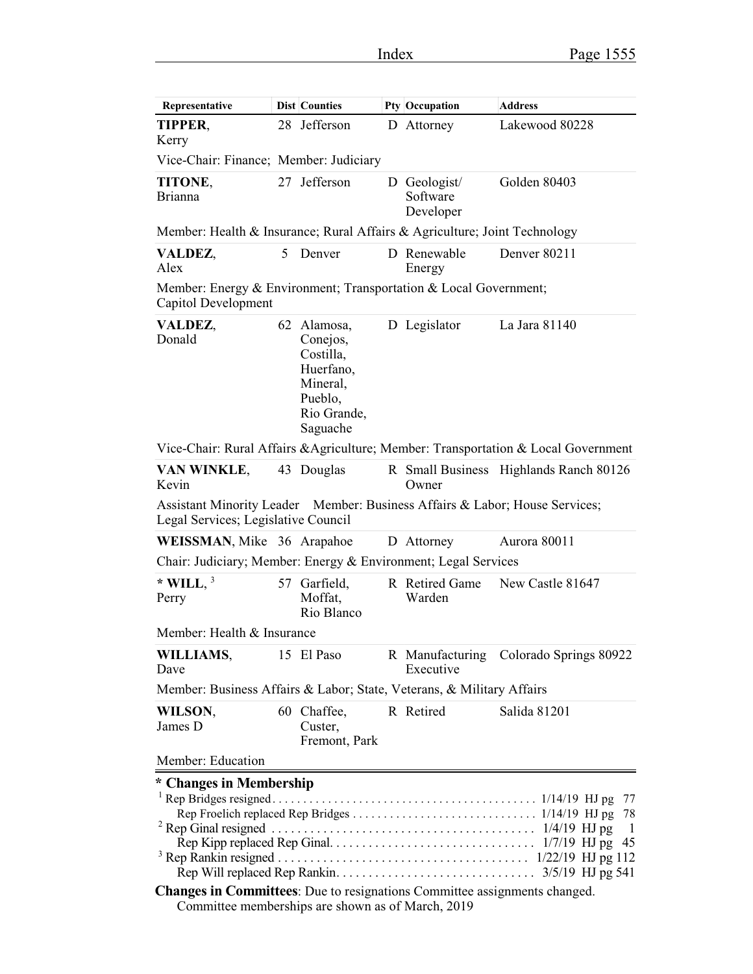$\mathbf{r}$ 

| Representative                                                                                                     |   | <b>Dist Counties</b>                                                                                |  | Pty Occupation                        | <b>Address</b>                                                                     |  |
|--------------------------------------------------------------------------------------------------------------------|---|-----------------------------------------------------------------------------------------------------|--|---------------------------------------|------------------------------------------------------------------------------------|--|
| TIPPER,<br>Kerry                                                                                                   |   | 28 Jefferson                                                                                        |  | D Attorney                            | Lakewood 80228                                                                     |  |
| Vice-Chair: Finance; Member: Judiciary                                                                             |   |                                                                                                     |  |                                       |                                                                                    |  |
| TITONE,<br><b>Brianna</b>                                                                                          |   | 27 Jefferson                                                                                        |  | D Geologist/<br>Software<br>Developer | Golden 80403                                                                       |  |
| Member: Health & Insurance; Rural Affairs & Agriculture; Joint Technology                                          |   |                                                                                                     |  |                                       |                                                                                    |  |
| VALDEZ,<br>Alex                                                                                                    | 5 | Denver                                                                                              |  | D Renewable<br>Energy                 | Denver 80211                                                                       |  |
| Member: Energy & Environment; Transportation & Local Government;<br>Capitol Development                            |   |                                                                                                     |  |                                       |                                                                                    |  |
| VALDEZ,<br>Donald                                                                                                  |   | 62 Alamosa,<br>Conejos,<br>Costilla,<br>Huerfano,<br>Mineral,<br>Pueblo,<br>Rio Grande,<br>Saguache |  | D Legislator                          | La Jara 81140                                                                      |  |
|                                                                                                                    |   |                                                                                                     |  |                                       | Vice-Chair: Rural Affairs & Agriculture; Member: Transportation & Local Government |  |
| VAN WINKLE,<br>Kevin                                                                                               |   | 43 Douglas                                                                                          |  | Owner                                 | R Small Business Highlands Ranch 80126                                             |  |
| Assistant Minority Leader Member: Business Affairs & Labor; House Services;<br>Legal Services; Legislative Council |   |                                                                                                     |  |                                       |                                                                                    |  |
| WEISSMAN, Mike 36 Arapahoe                                                                                         |   |                                                                                                     |  | D Attorney                            | Aurora 80011                                                                       |  |
| Chair: Judiciary; Member: Energy & Environment; Legal Services                                                     |   |                                                                                                     |  |                                       |                                                                                    |  |
| * WILL, $3$<br>Perry                                                                                               |   | 57 Garfield,<br>Moffat,<br>Rio Blanco                                                               |  | R Retired Game<br>Warden              | New Castle 81647                                                                   |  |
| Member: Health & Insurance                                                                                         |   |                                                                                                     |  |                                       |                                                                                    |  |
| WILLIAMS,<br>Dave                                                                                                  |   | 15 El Paso                                                                                          |  | Executive                             | R Manufacturing Colorado Springs 80922                                             |  |
| Member: Business Affairs & Labor; State, Veterans, & Military Affairs                                              |   |                                                                                                     |  |                                       |                                                                                    |  |
| WILSON,<br>James D                                                                                                 |   | 60 Chaffee,<br>Custer,<br>Fremont, Park                                                             |  | R Retired                             | Salida 81201                                                                       |  |
| Member: Education                                                                                                  |   |                                                                                                     |  |                                       |                                                                                    |  |
| * Changes in Membership<br>Changes in Committees: Due to resignations Committee assignments changed.               |   |                                                                                                     |  |                                       | $\perp$                                                                            |  |
| Committee memberships are shown as of March, 2019                                                                  |   |                                                                                                     |  |                                       |                                                                                    |  |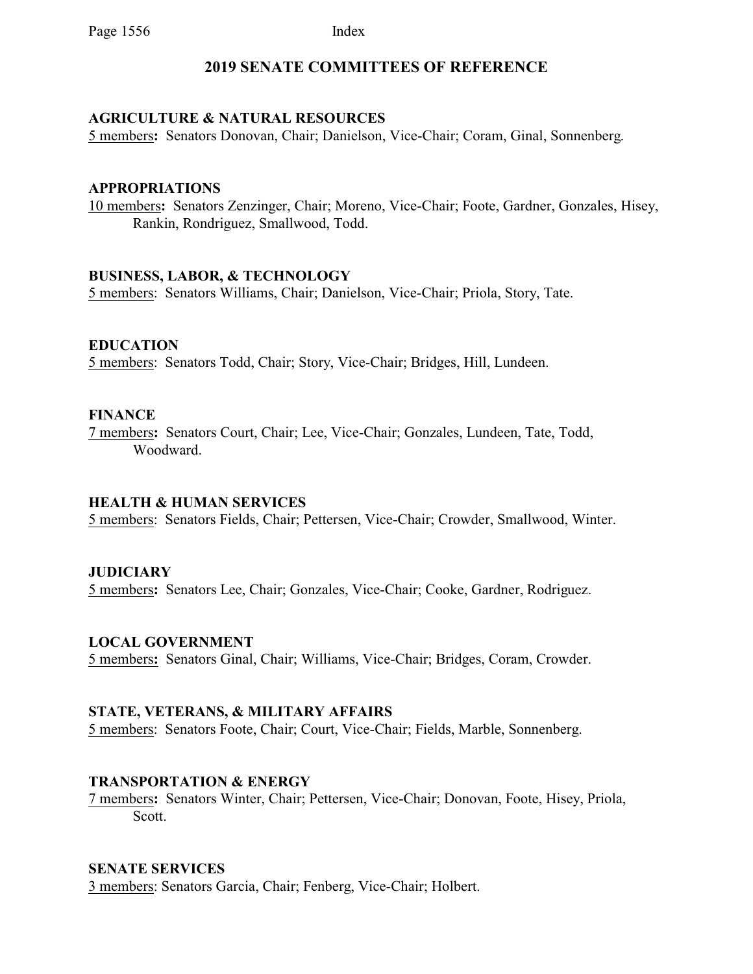# **2019 SENATE COMMITTEES OF REFERENCE**

# **AGRICULTURE & NATURAL RESOURCES**

5 members**:** Senators Donovan, Chair; Danielson, Vice-Chair; Coram, Ginal, Sonnenberg.

### **APPROPRIATIONS**

10 members**:** Senators Zenzinger, Chair; Moreno, Vice-Chair; Foote, Gardner, Gonzales, Hisey, Rankin, Rondriguez, Smallwood, Todd.

### **BUSINESS, LABOR, & TECHNOLOGY**

5 members: Senators Williams, Chair; Danielson, Vice-Chair; Priola, Story, Tate.

# **EDUCATION**

5 members: Senators Todd, Chair; Story, Vice-Chair; Bridges, Hill, Lundeen.

### **FINANCE**

7 members**:** Senators Court, Chair; Lee, Vice-Chair; Gonzales, Lundeen, Tate, Todd, Woodward.

#### **HEALTH & HUMAN SERVICES**

5 members: Senators Fields, Chair; Pettersen, Vice-Chair; Crowder, Smallwood, Winter.

# **JUDICIARY**

5 members**:** Senators Lee, Chair; Gonzales, Vice-Chair; Cooke, Gardner, Rodriguez.

# **LOCAL GOVERNMENT**

5 members**:** Senators Ginal, Chair; Williams, Vice-Chair; Bridges, Coram, Crowder.

### **STATE, VETERANS, & MILITARY AFFAIRS**

5 members: Senators Foote, Chair; Court, Vice-Chair; Fields, Marble, Sonnenberg.

#### **TRANSPORTATION & ENERGY**

7 members**:** Senators Winter, Chair; Pettersen, Vice-Chair; Donovan, Foote, Hisey, Priola, Scott.

# **SENATE SERVICES**

3 members: Senators Garcia, Chair; Fenberg, Vice-Chair; Holbert.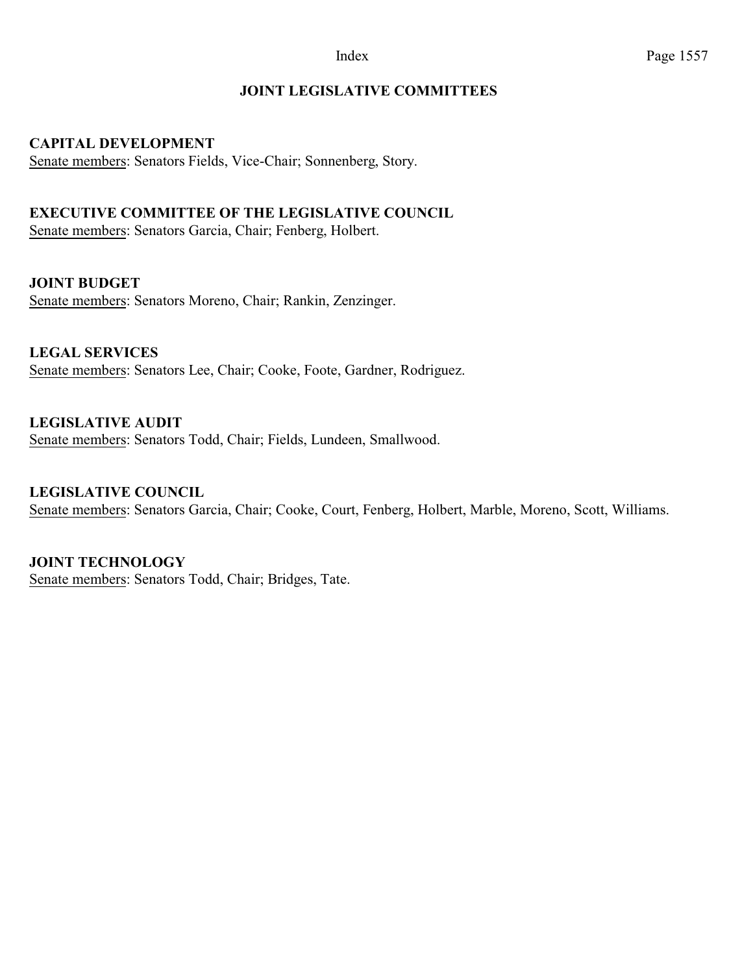# **JOINT LEGISLATIVE COMMITTEES**

# **CAPITAL DEVELOPMENT**

Senate members: Senators Fields, Vice-Chair; Sonnenberg, Story.

# **EXECUTIVE COMMITTEE OF THE LEGISLATIVE COUNCIL**

Senate members: Senators Garcia, Chair; Fenberg, Holbert.

**JOINT BUDGET**

Senate members: Senators Moreno, Chair; Rankin, Zenzinger.

**LEGAL SERVICES** Senate members: Senators Lee, Chair; Cooke, Foote, Gardner, Rodriguez.

**LEGISLATIVE AUDIT**  Senate members: Senators Todd, Chair; Fields, Lundeen, Smallwood.

**LEGISLATIVE COUNCIL** Senate members: Senators Garcia, Chair; Cooke, Court, Fenberg, Holbert, Marble, Moreno, Scott, Williams.

**JOINT TECHNOLOGY** Senate members: Senators Todd, Chair; Bridges, Tate.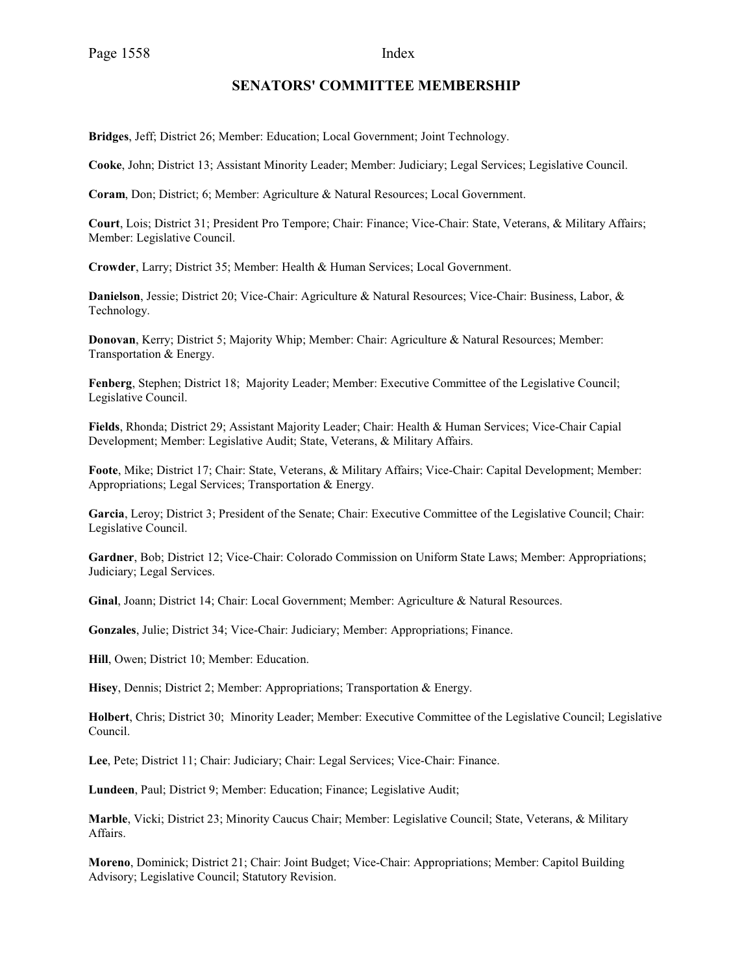#### **SENATORS' COMMITTEE MEMBERSHIP**

**Bridges**, Jeff; District 26; Member: Education; Local Government; Joint Technology.

**Cooke**, John; District 13; Assistant Minority Leader; Member: Judiciary; Legal Services; Legislative Council.

**Coram**, Don; District; 6; Member: Agriculture & Natural Resources; Local Government.

**Court**, Lois; District 31; President Pro Tempore; Chair: Finance; Vice-Chair: State, Veterans, & Military Affairs; Member: Legislative Council.

**Crowder**, Larry; District 35; Member: Health & Human Services; Local Government.

**Danielson**, Jessie; District 20; Vice-Chair: Agriculture & Natural Resources; Vice-Chair: Business, Labor, & Technology.

**Donovan**, Kerry; District 5; Majority Whip; Member: Chair: Agriculture & Natural Resources; Member: Transportation & Energy.

**Fenberg**, Stephen; District 18; Majority Leader; Member: Executive Committee of the Legislative Council; Legislative Council.

**Fields**, Rhonda; District 29; Assistant Majority Leader; Chair: Health & Human Services; Vice-Chair Capial Development; Member: Legislative Audit; State, Veterans, & Military Affairs.

**Foote**, Mike; District 17; Chair: State, Veterans, & Military Affairs; Vice-Chair: Capital Development; Member: Appropriations; Legal Services; Transportation & Energy.

**Garcia**, Leroy; District 3; President of the Senate; Chair: Executive Committee of the Legislative Council; Chair: Legislative Council.

**Gardner**, Bob; District 12; Vice-Chair: Colorado Commission on Uniform State Laws; Member: Appropriations; Judiciary; Legal Services.

**Ginal**, Joann; District 14; Chair: Local Government; Member: Agriculture & Natural Resources.

**Gonzales**, Julie; District 34; Vice-Chair: Judiciary; Member: Appropriations; Finance.

**Hill**, Owen; District 10; Member: Education.

**Hisey**, Dennis; District 2; Member: Appropriations; Transportation & Energy.

**Holbert**, Chris; District 30; Minority Leader; Member: Executive Committee of the Legislative Council; Legislative Council.

**Lee**, Pete; District 11; Chair: Judiciary; Chair: Legal Services; Vice-Chair: Finance.

**Lundeen**, Paul; District 9; Member: Education; Finance; Legislative Audit;

**Marble**, Vicki; District 23; Minority Caucus Chair; Member: Legislative Council; State, Veterans, & Military Affairs.

**Moreno**, Dominick; District 21; Chair: Joint Budget; Vice-Chair: Appropriations; Member: Capitol Building Advisory; Legislative Council; Statutory Revision.